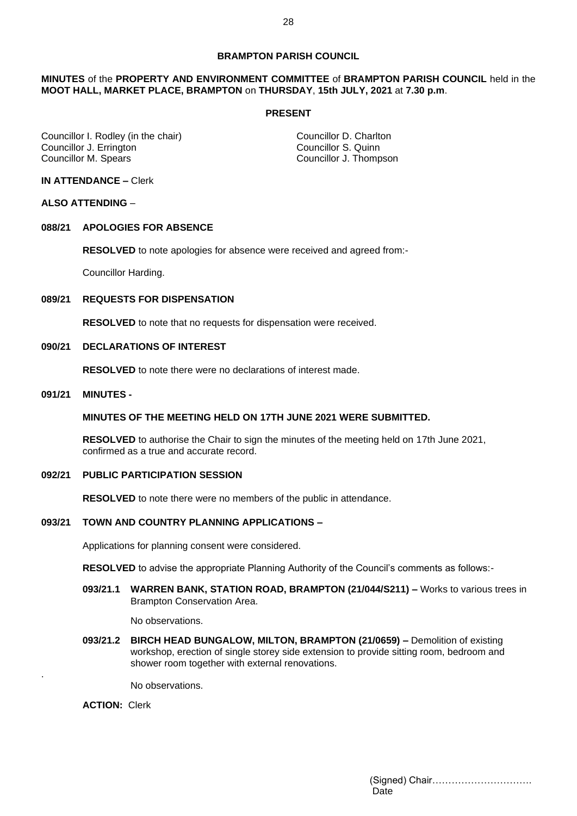### **BRAMPTON PARISH COUNCIL**

### **MINUTES** of the **PROPERTY AND ENVIRONMENT COMMITTEE** of **BRAMPTON PARISH COUNCIL** held in the **MOOT HALL, MARKET PLACE, BRAMPTON** on **THURSDAY**, **15th JULY, 2021** at **7.30 p.m**.

#### **PRESENT**

Councillor I. Rodley (in the chair) Councillor D. Charlton Councillor J. Errington Councillor S. Quinn<br>
Councillor M. Spears
Councillor S. Quinn
Councillor M. Spears
Councillor S. Quinn
Councillor S. Quinn
Councillor S. Quinn
Councillor S. Quinn
Councillor S. Quinn
Councillor S. Q

Councillor J. Thompson

# **IN ATTENDANCE –** Clerk

### **ALSO ATTENDING** –

# **088/21 APOLOGIES FOR ABSENCE**

**RESOLVED** to note apologies for absence were received and agreed from:-

Councillor Harding.

#### **089/21 REQUESTS FOR DISPENSATION**

**RESOLVED** to note that no requests for dispensation were received.

# **090/21 DECLARATIONS OF INTEREST**

**RESOLVED** to note there were no declarations of interest made.

#### **091/21 MINUTES -**

### **MINUTES OF THE MEETING HELD ON 17TH JUNE 2021 WERE SUBMITTED.**

**RESOLVED** to authorise the Chair to sign the minutes of the meeting held on 17th June 2021, confirmed as a true and accurate record.

# **092/21 PUBLIC PARTICIPATION SESSION**

**RESOLVED** to note there were no members of the public in attendance.

#### **093/21 TOWN AND COUNTRY PLANNING APPLICATIONS –**

Applications for planning consent were considered.

**RESOLVED** to advise the appropriate Planning Authority of the Council's comments as follows:-

**093/21.1 WARREN BANK, STATION ROAD, BRAMPTON (21/044/S211) –** Works to various trees in Brampton Conservation Area.

No observations.

**093/21.2 BIRCH HEAD BUNGALOW, MILTON, BRAMPTON (21/0659) –** Demolition of existing workshop, erection of single storey side extension to provide sitting room, bedroom and shower room together with external renovations.

No observations.

**ACTION:** Clerk

.